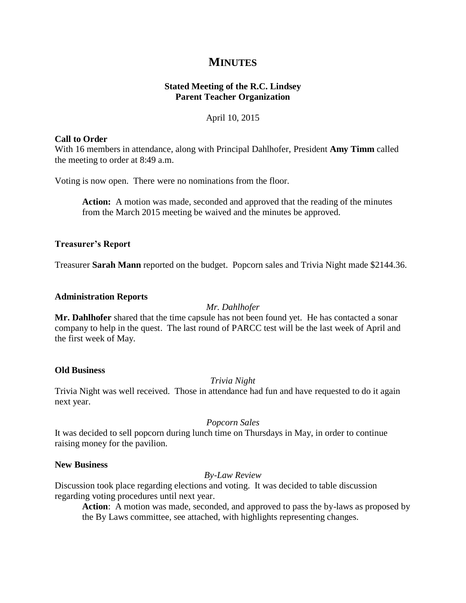# **MINUTES**

# **Stated Meeting of the R.C. Lindsey Parent Teacher Organization**

## April 10, 2015

### **Call to Order**

With 16 members in attendance, along with Principal Dahlhofer, President **Amy Timm** called the meeting to order at 8:49 a.m.

Voting is now open. There were no nominations from the floor.

**Action:** A motion was made, seconded and approved that the reading of the minutes from the March 2015 meeting be waived and the minutes be approved.

### **Treasurer's Report**

Treasurer **Sarah Mann** reported on the budget. Popcorn sales and Trivia Night made \$2144.36.

#### **Administration Reports**

#### *Mr. Dahlhofer*

**Mr. Dahlhofer** shared that the time capsule has not been found yet. He has contacted a sonar company to help in the quest. The last round of PARCC test will be the last week of April and the first week of May.

## **Old Business**

*Trivia Night*

Trivia Night was well received. Those in attendance had fun and have requested to do it again next year.

## *Popcorn Sales*

It was decided to sell popcorn during lunch time on Thursdays in May, in order to continue raising money for the pavilion.

## **New Business**

## *By-Law Review*

Discussion took place regarding elections and voting. It was decided to table discussion regarding voting procedures until next year.

**Action**: A motion was made, seconded, and approved to pass the by-laws as proposed by the By Laws committee, see attached, with highlights representing changes.